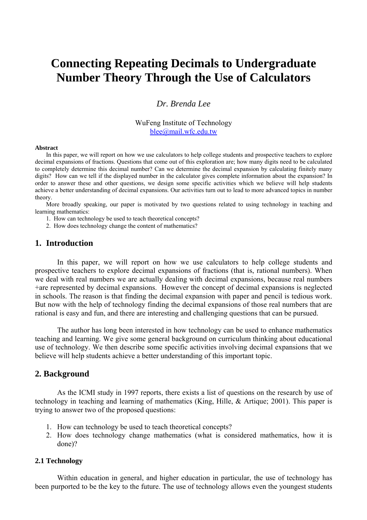# **Connecting Repeating Decimals to Undergraduate Number Theory Through the Use of Calculators**

# *Dr. Brenda Lee*

WuFeng Institute of Technology blee@mail.wfc.edu.tw

#### **Abstract**

In this paper, we will report on how we use calculators to help college students and prospective teachers to explore decimal expansions of fractions. Questions that come out of this exploration are; how many digits need to be calculated to completely determine this decimal number? Can we determine the decimal expansion by calculating finitely many digits? How can we tell if the displayed number in the calculator gives complete information about the expansion? In order to answer these and other questions, we design some specific activities which we believe will help students achieve a better understanding of decimal expansions. Our activities turn out to lead to more advanced topics in number theory.

More broadly speaking, our paper is motivated by two questions related to using technology in teaching and learning mathematics:

- 1. How can technology be used to teach theoretical concepts?
- 2. How does technology change the content of mathematics?

## **1. Introduction**

In this paper, we will report on how we use calculators to help college students and prospective teachers to explore decimal expansions of fractions (that is, rational numbers). When we deal with real numbers we are actually dealing with decimal expansions, because real numbers +are represented by decimal expansions. However the concept of decimal expansions is neglected in schools. The reason is that finding the decimal expansion with paper and pencil is tedious work. But now with the help of technology finding the decimal expansions of those real numbers that are rational is easy and fun, and there are interesting and challenging questions that can be pursued.

The author has long been interested in how technology can be used to enhance mathematics teaching and learning. We give some general background on curriculum thinking about educational use of technology. We then describe some specific activities involving decimal expansions that we believe will help students achieve a better understanding of this important topic.

#### **2. Background**

As the ICMI study in 1997 reports, there exists a list of questions on the research by use of technology in teaching and learning of mathematics (King, Hille, & Artique; 2001). This paper is trying to answer two of the proposed questions:

- 1. How can technology be used to teach theoretical concepts?
- 2. How does technology change mathematics (what is considered mathematics, how it is done)?

#### **2.1 Technology**

Within education in general, and higher education in particular, the use of technology has been purported to be the key to the future. The use of technology allows even the youngest students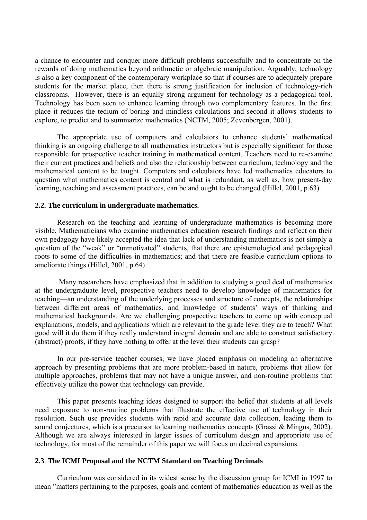a chance to encounter and conquer more difficult problems successfully and to concentrate on the rewards of doing mathematics beyond arithmetic or algebraic manipulation. Arguably, technology is also a key component of the contemporary workplace so that if courses are to adequately prepare students for the market place, then there is strong justification for inclusion of technology-rich classrooms. However, there is an equally strong argument for technology as a pedagogical tool. Technology has been seen to enhance learning through two complementary features. In the first place it reduces the tedium of boring and mindless calculations and second it allows students to explore, to predict and to summarize mathematics (NCTM, 2005; Zevenbergen, 2001).

The appropriate use of computers and calculators to enhance students' mathematical thinking is an ongoing challenge to all mathematics instructors but is especially significant for those responsible for prospective teacher training in mathematical content. Teachers need to re-examine their current practices and beliefs and also the relationship between curriculum, technology and the mathematical content to be taught. Computers and calculators have led mathematics educators to question what mathematics content is central and what is redundant, as well as, how present-day learning, teaching and assessment practices, can be and ought to be changed (Hillel, 2001, p.63).

#### **2.2. The curriculum in undergraduate mathematics.**

Research on the teaching and learning of undergraduate mathematics is becoming more visible. Mathematicians who examine mathematics education research findings and reflect on their own pedagogy have likely accepted the idea that lack of understanding mathematics is not simply a question of the "weak" or "unmotivated" students, that there are epistemological and pedagogical roots to some of the difficulties in mathematics; and that there are feasible curriculum options to ameliorate things (Hillel, 2001, p.64)

 Many researchers have emphasized that in addition to studying a good deal of mathematics at the undergraduate level, prospective teachers need to develop knowledge of mathematics for teaching—an understanding of the underlying processes and structure of concepts, the relationships between different areas of mathematics, and knowledge of students' ways of thinking and mathematical backgrounds. Are we challenging prospective teachers to come up with conceptual explanations, models, and applications which are relevant to the grade level they are to teach? What good will it do them if they really understand integral domain and are able to construct satisfactory (abstract) proofs, if they have nothing to offer at the level their students can grasp?

In our pre-service teacher courses, we have placed emphasis on modeling an alternative approach by presenting problems that are more problem-based in nature, problems that allow for multiple approaches, problems that may not have a unique answer, and non-routine problems that effectively utilize the power that technology can provide.

This paper presents teaching ideas designed to support the belief that students at all levels need exposure to non-routine problems that illustrate the effective use of technology in their resolution. Such use provides students with rapid and accurate data collection, leading them to sound conjectures, which is a precursor to learning mathematics concepts (Grassi & Mingus, 2002). Although we are always interested in larger issues of curriculum design and appropriate use of technology, for most of the remainder of this paper we will focus on decimal expansions.

## **2.3**. **The ICMI Proposal and the NCTM Standard on Teaching Decimals**

Curriculum was considered in its widest sense by the discussion group for ICMI in 1997 to mean "matters pertaining to the purposes, goals and content of mathematics education as well as the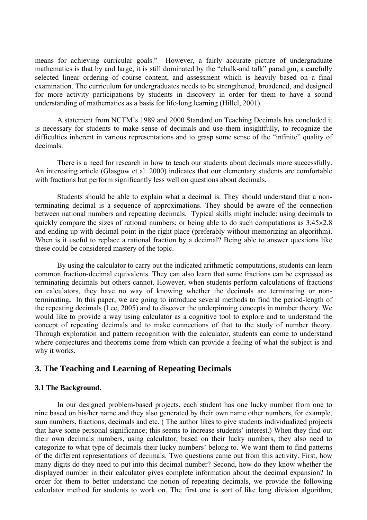means for achieving curricular goals." However, a fairly accurate picture of undergraduate mathematics is that by and large, it is still dominated by the "chalk-and talk" paradigm, a carefully selected linear ordering of course content, and assessment which is heavily based on a final examination. The curriculum for undergraduates needs to be strengthened, broadened, and designed for more activity participations by students in discovery in order for them to have a sound understanding of mathematics as a basis for life-long learning (Hillel, 2001).

A statement from NCTM's 1989 and 2000 Standard on Teaching Decimals has concluded it is necessary for students to make sense of decimals and use them insightfully, to recognize the difficulties inherent in various representations and to grasp some sense of the "infinite" quality of decimals.

 There is a need for research in how to teach our students about decimals more successfully. An interesting article (Glasgow et al. 2000) indicates that our elementary students are comfortable with fractions but perform significantly less well on questions about decimals.

 Students should be able to explain what a decimal is. They should understand that a nonterminating decimal is a sequence of approximations. They should be aware of the connection between national numbers and repeating decimals. Typical skills might include: using decimals to quickly compare the sizes of rational numbers; or being able to do such computations as  $3.45 \times 2.8$ and ending up with decimal point in the right place (preferably without memorizing an algorithm). When is it useful to replace a rational fraction by a decimal? Being able to answer questions like these could be considered mastery of the topic.

By using the calculator to carry out the indicated arithmetic computations, students can learn common fraction-decimal equivalents. They can also learn that some fractions can be expressed as terminating decimals but others cannot. However, when students perform calculations of fractions on calculators, they have no way of knowing whether the decimals are terminating or nonterminating**.** In this paper, we are going to introduce several methods to find the period-length of the repeating decimals (Lee, 2005) and to discover the underpinning concepts in number theory. We would like to provide a way using calculator as a cognitive tool to explore and to understand the concept of repeating decimals and to make connections of that to the study of number theory. Through exploration and pattern recognition with the calculator, students can come to understand where conjectures and theorems come from which can provide a feeling of what the subject is and why it works.

## **3. The Teaching and Learning of Repeating Decimals**

## **3.1 The Background.**

 In our designed problem-based projects, each student has one lucky number from one to nine based on his/her name and they also generated by their own name other numbers, for example, sum numbers, fractions, decimals and etc. ( The author likes to give students individualized projects that have some personal significance; this seems to increase students' interest.) When they find out their own decimals numbers, using calculator, based on their lucky numbers, they also need to categorize to what type of decimals their lucky numbers' belong to. We want them to find patterns of the different representations of decimals. Two questions came out from this activity. First, how many digits do they need to put into this decimal number? Second, how do they know whether the displayed number in their calculator gives complete information about the decimal expansion? In order for them to better understand the notion of repeating decimals, we provide the following calculator method for students to work on. The first one is sort of like long division algorithm;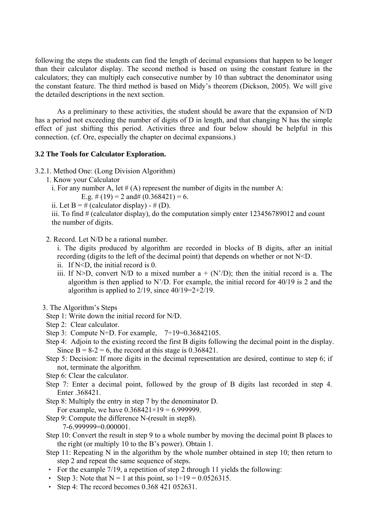following the steps the students can find the length of decimal expansions that happen to be longer than their calculator display. The second method is based on using the constant feature in the calculators; they can multiply each consecutive number by 10 than subtract the denominator using the constant feature. The third method is based on Midy's theorem (Dickson, 2005). We will give the detailed descriptions in the next section.

 As a preliminary to these activities, the student should be aware that the expansion of N/D has a period not exceeding the number of digits of D in length, and that changing N has the simple effect of just shifting this period. Activities three and four below should be helpful in this connection. (cf. Ore, especially the chapter on decimal expansions.)

## **3.2 The Tools for Calculator Exploration.**

- 3.2.1. Method One: (Long Division Algorithm)
	- 1. Know your Calculator
		- i. For any number A, let  $#(A)$  represent the number of digits in the number A:

E.g.  $\#(19) = 2$  and  $\#(0.368421) = 6$ .

ii. Let  $B = #$  (calculator display) -  $# (D)$ .

iii. To find # (calculator display), do the computation simply enter 123456789012 and count the number of digits.

2. Record. Let N/D be a rational number.

i. The digits produced by algorithm are recorded in blocks of B digits, after an initial recording (digits to the left of the decimal point) that depends on whether or not N<D.

- ii. If N<D, the initial record is 0.
- iii. If N>D, convert N/D to a mixed number  $a + (N'/D)$ ; then the initial record is a. The algorithm is then applied to  $N/D$ . For example, the initial record for 40/19 is 2 and the algorithm is applied to  $2/19$ , since  $40/19=2+2/19$ .
- 3. The Algorithm's Steps
	- Step 1: Write down the initial record for N/D.
	- Step 2: Clear calculator.
	- Step 3: Compute N÷D. For example,  $7\div 19=0.36842105$ .
	- Step 4: Adjoin to the existing record the first B digits following the decimal point in the display. Since  $B = 8-2 = 6$ , the record at this stage is 0.368421.
	- Step 5: Decision: If more digits in the decimal representation are desired, continue to step 6; if not, terminate the algorithm.
	- Step 6: Clear the calculator.
	- Step 7: Enter a decimal point, followed by the group of B digits last recorded in step 4. Enter .368421.

Step 8: Multiply the entry in step 7 by the denominator D.

For example, we have  $0.368421 \times 19 = 6.999999$ .

- Step 9: Compute the difference N-(result in step8). 7-6.999999=0.000001.
- Step 10: Convert the result in step 9 to a whole number by moving the decimal point B places to the right (or multiply 10 to the B's power). Obtain 1.
- Step 11: Repeating N in the algorithm by the whole number obtained in step 10; then return to step 2 and repeat the same sequence of steps.
- ‧ For the example 7/19, a repetition of step 2 through 11 yields the following:
- Step 3: Note that  $N = 1$  at this point, so  $1 \div 19 = 0.0526315$ .
- ‧ Step 4: The record becomes 0.368 421 052631.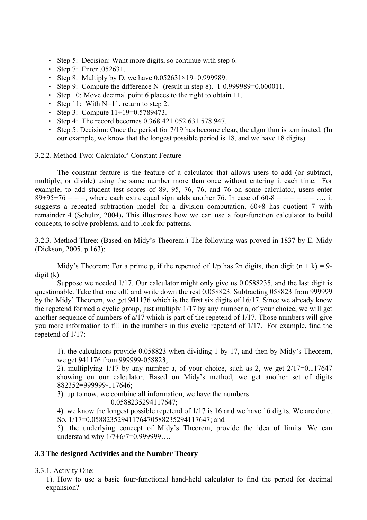- ‧ Step 5: Decision: Want more digits, so continue with step 6.
- Step 7: Enter .052631.
- Step 8: Multiply by D, we have  $0.052631 \times 19 = 0.999989$ .
- Step 9: Compute the difference N- (result in step 8). 1-0.999989=0.000011.
- ‧ Step 10: Move decimal point 6 places to the right to obtain 11.
- Step 11: With N=11, return to step 2.
- Step 3: Compute  $11 \div 19 = 0.5789473$ .
- ‧ Step 4: The record becomes 0.368 421 052 631 578 947.
- ‧ Step 5: Decision: Once the period for 7/19 has become clear, the algorithm is terminated. (In our example, we know that the longest possible period is 18, and we have 18 digits).

3.2.2. Method Two: Calculator' Constant Feature

The constant feature is the feature of a calculator that allows users to add (or subtract, multiply, or divide) using the same number more than once without entering it each time. For example, to add student test scores of 89, 95, 76, 76, and 76 on some calculator, users enter  $89+95+76 =$  = =  $\mu$ , where each extra equal sign adds another 76. In case of 60-8 = = = = =  $\mu$ , it suggests a repeated subtraction model for a division computation,  $60\div 8$  has quotient 7 with remainder 4 (Schultz, 2004)**.** This illustrates how we can use a four-function calculator to build concepts, to solve problems, and to look for patterns.

3.2.3. Method Three: (Based on Midy's Theorem.) The following was proved in 1837 by E. Midy (Dickson, 2005, p.163):

Midy's Theorem: For a prime p, if the repented of  $1/p$  has 2n digits, then digit  $(n + k) = 9$ digit (k)

Suppose we needed 1/17. Our calculator might only give us 0.0588235, and the last digit is questionable. Take that one off, and write down the rest 0.058823. Subtracting 058823 from 999999 by the Midy' Theorem, we get 941176 which is the first six digits of 16/17. Since we already know the repetend formed a cyclic group, just multiply 1/17 by any number a, of your choice, we will get another sequence of numbers of a/17 which is part of the repetend of 1/17. Those numbers will give you more information to fill in the numbers in this cyclic repetend of 1/17. For example, find the repetend of 1/17:

1). the calculators provide 0.058823 when dividing 1 by 17, and then by Midy's Theorem, we get 941176 from 999999-058823:

2). multiplying 1/17 by any number a, of your choice, such as 2, we get 2/17=0.117647 showing on our calculator. Based on Midy's method, we get another set of digits 882352=999999-117646;

3). up to now, we combine all information, we have the numbers

0.0588235294117647;

4). we know the longest possible repetend of 1/17 is 16 and we have 16 digits. We are done. So, 1/17=0.05882352941176470588235294117647; and

5). the underlying concept of Midy's Theorem, provide the idea of limits. We can understand why 1/7+6/7=0.999999….

## **3.3 The designed Activities and the Number Theory**

3.3.1. Activity One:

1). How to use a basic four-functional hand-held calculator to find the period for decimal expansion?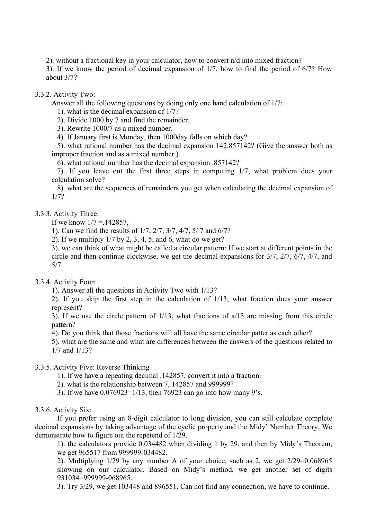2). without a fractional key in your calculator, how to convert n/d into mixed fraction?

3). If we know the period of decimal expansion of 1/7, how to find the period of 6/7? How about 3/7?

## 3.3.2. Activity Two:

Answer all the following questions by doing only one hand calculation of 1/7:

1). what is the decimal expansion of 1/7?

2). Divide 1000 by 7 and find the remainder.

3). Rewrite 1000/7 as a mixed number.

4). If January first is Monday, then 1000day falls on which day?

 5). what rational number has the decimal expansion 142.857142? (Give the answer both as improper fraction and as a mixed number.)

6). what rational number has the decimal expansion .857142?

 7). If you leave out the first three steps in computing 1/7, what problem does your calculation solve?

 8). what are the sequences of remainders you get when calculating the decimal expansion of 1/7?

## 3.3.3. Activity Three:

If we know  $1/7 = 142857$ ,

1). Can we find the results of 1/7, 2/7, 3/7, 4/7, 5/ 7 and 6/7?

2). If we multiply 1/7 by 2, 3, 4, 5, and 6, what do we get?

3). we can think of what might be called a circular pattern: If we start at different points in the circle and then continue clockwise, we get the decimal expansions for 3/7, 2/7, 6/7, 4/7, and 5/7.

## 3.3.4. Activity Four:

1). Answer all the questions in Activity Two with 1/13?

2). If you skip the first step in the calculation of 1/13, what fraction does your answer represent?

3). If we use the circle pattern of 1/13, what fractions of a/13 are missing from this circle pattern?

4). Do you think that those fractions will all have the same circular patter as each other?

5). what are the same and what are differences between the answers of the questions related to 1/7 and 1/13?

## 3.3.5. Activity Five: Reverse Thinking

- 1). If we have a repeating decimal .142857, convert it into a fraction.
- 2). what is the relationship between 7, 142857 and 999999?
- 3). If we have 0.076923=1/13, then 76923 can go into how many 9's.

## 3.3.6. Activity Six:

If you prefer using an 8-digit calculator to long division, you can still calculate complete decimal expansions by taking advantage of the cyclic property and the Midy' Number Theory. We demonstrate how to figure out the repetend of 1/29.

1). the calculators provide 0.034482 when dividing 1 by 29, and then by Midy's Theorem, we get 965517 from 999999-034482.

2). Multiplying 1/29 by any number A of your choice, such as 2, we get 2/29=0.068965 showing on our calculator. Based on Midy's method, we get another set of digits 931034=999999-068965.

3). Try 3/29, we get 103448 and 896551. Can not find any connection, we have to continue.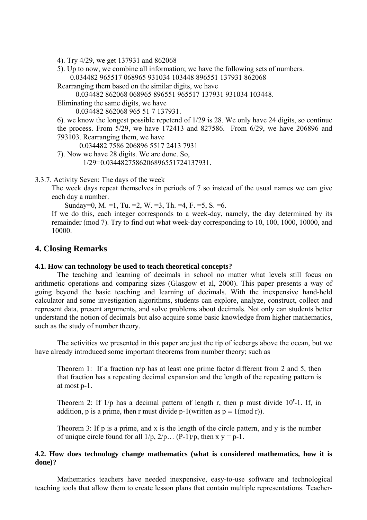- 4). Try 4/29, we get 137931 and 862068
- 5). Up to now, we combine all information; we have the following sets of numbers. 0.034482 965517 068965 931034 103448 896551 137931 862068
- Rearranging them based on the similar digits, we have

0.034482 862068 068965 896551 965517 137931 931034 103448.

Eliminating the same digits, we have

0.034482 862068 965 51 7 137931.

6). we know the longest possible repetend of 1/29 is 28. We only have 24 digits, so continue the process. From 5/29, we have 172413 and 827586. From 6/29, we have 206896 and 793103. Rearranging them, we have

0.034482 7586 206896 5517 2413 7931

7). Now we have 28 digits. We are done. So,

1/29=0.0344827586206896551724137931.

#### 3.3.7. Activity Seven: The days of the week

The week days repeat themselves in periods of 7 so instead of the usual names we can give each day a number.

Sunday=0, M. =1, Tu. =2, W. =3, Th. =4, F. =5, S. =6.

If we do this, each integer corresponds to a week-day, namely, the day determined by its remainder (mod 7). Try to find out what week-day corresponding to 10, 100, 1000, 10000, and 10000.

# **4. Closing Remarks**

#### **4.1. How can technology be used to teach theoretical concepts?**

The teaching and learning of decimals in school no matter what levels still focus on arithmetic operations and comparing sizes (Glasgow et al, 2000). This paper presents a way of going beyond the basic teaching and learning of decimals. With the inexpensive hand-held calculator and some investigation algorithms, students can explore, analyze, construct, collect and represent data, present arguments, and solve problems about decimals. Not only can students better understand the notion of decimals but also acquire some basic knowledge from higher mathematics, such as the study of number theory.

The activities we presented in this paper are just the tip of icebergs above the ocean, but we have already introduced some important theorems from number theory; such as

Theorem 1: If a fraction  $n/p$  has at least one prime factor different from 2 and 5, then that fraction has a repeating decimal expansion and the length of the repeating pattern is at most p-1.

Theorem 2: If  $1/p$  has a decimal pattern of length r, then p must divide  $10<sup>r</sup>$ -1. If, in addition, p is a prime, then r must divide p-1(written as  $p \equiv 1 \pmod{r}$ ).

Theorem 3: If p is a prime, and x is the length of the circle pattern, and y is the number of unique circle found for all  $1/p$ ,  $2/p$ ... (P-1)/p, then x y = p-1.

## **4.2. How does technology change mathematics (what is considered mathematics, how it is done)?**

Mathematics teachers have needed inexpensive, easy-to-use software and technological teaching tools that allow them to create lesson plans that contain multiple representations. Teacher-